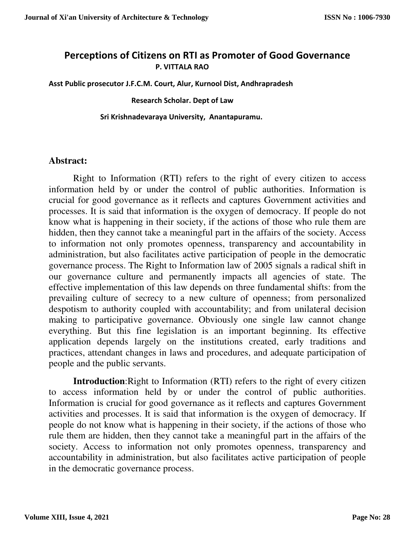## **Perceptions of Citizens on RTI as Promoter of Good Governance P. VITTALA RAO**

**Asst Public prosecutor J.F.C.M. Court, Alur, Kurnool Dist, Andhrapradesh** 

 **Research Scholar. Dept of Law** 

 **Sri Krishnadevaraya University, Anantapuramu.** 

#### **Abstract:**

Right to Information (RTI) refers to the right of every citizen to access information held by or under the control of public authorities. Information is crucial for good governance as it reflects and captures Government activities and processes. It is said that information is the oxygen of democracy. If people do not know what is happening in their society, if the actions of those who rule them are hidden, then they cannot take a meaningful part in the affairs of the society. Access to information not only promotes openness, transparency and accountability in administration, but also facilitates active participation of people in the democratic governance process. The Right to Information law of 2005 signals a radical shift in our governance culture and permanently impacts all agencies of state. The effective implementation of this law depends on three fundamental shifts: from the prevailing culture of secrecy to a new culture of openness; from personalized despotism to authority coupled with accountability; and from unilateral decision making to participative governance. Obviously one single law cannot change everything. But this fine legislation is an important beginning. Its effective application depends largely on the institutions created, early traditions and practices, attendant changes in laws and procedures, and adequate participation of people and the public servants.

**Introduction**: Right to Information (RTI) refers to the right of every citizen to access information held by or under the control of public authorities. Information is crucial for good governance as it reflects and captures Government activities and processes. It is said that information is the oxygen of democracy. If people do not know what is happening in their society, if the actions of those who rule them are hidden, then they cannot take a meaningful part in the affairs of the society. Access to information not only promotes openness, transparency and accountability in administration, but also facilitates active participation of people in the democratic governance process.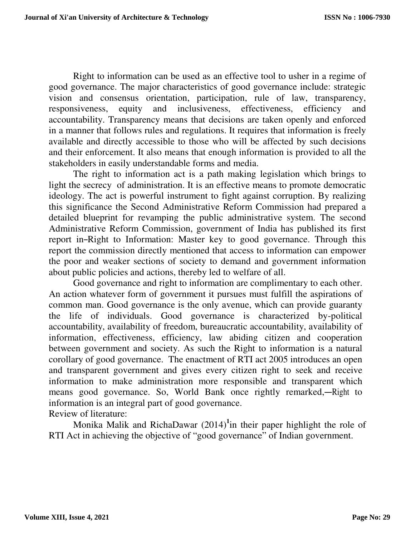Right to information can be used as an effective tool to usher in a regime of good governance. The major characteristics of good governance include: strategic vision and consensus orientation, participation, rule of law, transparency, responsiveness, equity and inclusiveness, effectiveness, efficiency and accountability. Transparency means that decisions are taken openly and enforced in a manner that follows rules and regulations. It requires that information is freely available and directly accessible to those who will be affected by such decisions and their enforcement. It also means that enough information is provided to all the stakeholders in easily understandable forms and media.

The right to information act is a path making legislation which brings to light the secrecy of administration. It is an effective means to promote democratic ideology. The act is powerful instrument to fight against corruption. By realizing this significance the Second Administrative Reform Commission had prepared a detailed blueprint for revamping the public administrative system. The second Administrative Reform Commission, government of India has published its first report in―Right to Information: Master key to good governance. Through this report the commission directly mentioned that access to information can empower the poor and weaker sections of society to demand and government information about public policies and actions, thereby led to welfare of all.

Good governance and right to information are complimentary to each other. An action whatever form of government it pursues must fulfill the aspirations of common man. Good governance is the only avenue, which can provide guaranty the life of individuals. Good governance is characterized by-political accountability, availability of freedom, bureaucratic accountability, availability of information, effectiveness, efficiency, law abiding citizen and cooperation between government and society. As such the Right to information is a natural corollary of good governance. The enactment of RTI act 2005 introduces an open and transparent government and gives every citizen right to seek and receive information to make administration more responsible and transparent which means good governance. So, World Bank once rightly remarked,―Right to information is an integral part of good governance. Review of literature:

Monika Malik and RichaDawar (2014)**<sup>1</sup>** in their paper highlight the role of RTI Act in achieving the objective of "good governance" of Indian government.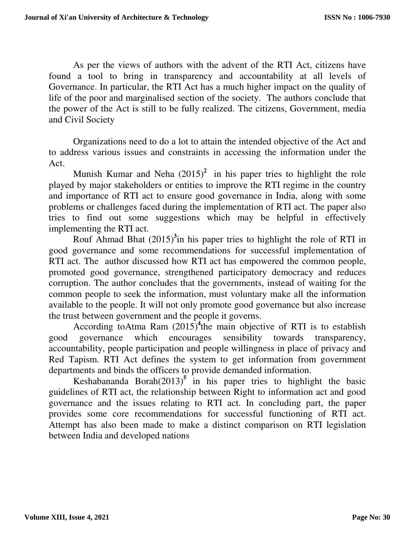As per the views of authors with the advent of the RTI Act, citizens have found a tool to bring in transparency and accountability at all levels of Governance. In particular, the RTI Act has a much higher impact on the quality of life of the poor and marginalised section of the society. The authors conclude that the power of the Act is still to be fully realized. The citizens, Government, media and Civil Society

Organizations need to do a lot to attain the intended objective of the Act and to address various issues and constraints in accessing the information under the Act.

Munish Kumar and Neha  $(2015)^2$  in his paper tries to highlight the role played by major stakeholders or entities to improve the RTI regime in the country and importance of RTI act to ensure good governance in India, along with some problems or challenges faced during the implementation of RTI act. The paper also tries to find out some suggestions which may be helpful in effectively implementing the RTI act.

Rouf Ahmad Bhat (2015)**<sup>3</sup>** in his paper tries to highlight the role of RTI in good governance and some recommendations for successful implementation of RTI act. The author discussed how RTI act has empowered the common people, promoted good governance, strengthened participatory democracy and reduces corruption. The author concludes that the governments, instead of waiting for the common people to seek the information, must voluntary make all the information available to the people. It will not only promote good governance but also increase the trust between government and the people it governs.

According toAtma Ram (2015)**<sup>4</sup>** the main objective of RTI is to establish good governance which encourages sensibility towards transparency, accountability, people participation and people willingness in place of privacy and Red Tapism. RTI Act defines the system to get information from government departments and binds the officers to provide demanded information.

Keshabananda Borah $(2013)^5$  in his paper tries to highlight the basic guidelines of RTI act, the relationship between Right to information act and good governance and the issues relating to RTI act. In concluding part, the paper provides some core recommendations for successful functioning of RTI act. Attempt has also been made to make a distinct comparison on RTI legislation between India and developed nations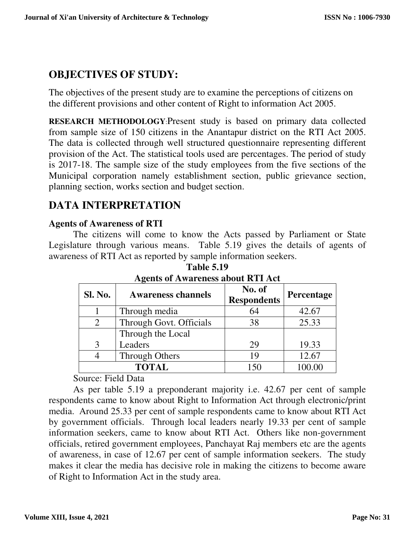# **OBJECTIVES OF STUDY:**

The objectives of the present study are to examine the perceptions of citizens on the different provisions and other content of Right to information Act 2005.

**RESEARCH METHODOLOGY**:Present study is based on primary data collected from sample size of 150 citizens in the Anantapur district on the RTI Act 2005. The data is collected through well structured questionnaire representing different provision of the Act. The statistical tools used are percentages. The period of study is 2017-18. The sample size of the study employees from the five sections of the Municipal corporation namely establishment section, public grievance section, planning section, works section and budget section.

# **DATA INTERPRETATION**

## **Agents of Awareness of RTI**

The citizens will come to know the Acts passed by Parliament or State Legislature through various means. Table 5.19 gives the details of agents of awareness of RTI Act as reported by sample information seekers.

| <b>Sl. No.</b> | <b>Awareness channels</b> | No. of<br><b>Respondents</b> | Percentage |
|----------------|---------------------------|------------------------------|------------|
|                | Through media             | 64                           | 42.67      |
| 2              | Through Govt. Officials   | 38                           | 25.33      |
|                | Through the Local         |                              |            |
|                | Leaders                   | 29                           | 19.33      |
|                | <b>Through Others</b>     | 19                           | 12.67      |
|                | <b>TOTAL</b>              | 150                          | 100.00     |

**Table 5.19 Agents of Awareness about RTI Act** 

Source: Field Data

 As per table 5.19 a preponderant majority i.e. 42.67 per cent of sample respondents came to know about Right to Information Act through electronic/print media. Around 25.33 per cent of sample respondents came to know about RTI Act by government officials. Through local leaders nearly 19.33 per cent of sample information seekers, came to know about RTI Act. Others like non-government officials, retired government employees, Panchayat Raj members etc are the agents of awareness, in case of 12.67 per cent of sample information seekers. The study makes it clear the media has decisive role in making the citizens to become aware of Right to Information Act in the study area.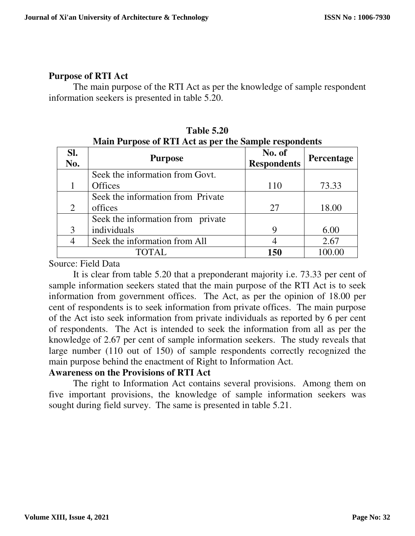## **Purpose of RTI Act**

The main purpose of the RTI Act as per the knowledge of sample respondent information seekers is presented in table 5.20.

| SI.<br>No. | <b>Purpose</b>                    | No. of<br><b>Respondents</b> | <b>Percentage</b> |
|------------|-----------------------------------|------------------------------|-------------------|
|            | Seek the information from Govt.   |                              |                   |
|            | <b>Offices</b>                    | 110                          | 73.33             |
|            | Seek the information from Private |                              |                   |
| 2          | offices                           | 27                           | 18.00             |
|            | Seek the information from private |                              |                   |
|            | individuals                       | 9                            | 6.00              |
|            | Seek the information from All     |                              | 2.67              |
|            | TOTAL.                            | 150                          |                   |

**Table 5.20 Main Purpose of RTI Act as per the Sample respondents** 

Source: Field Data

 It is clear from table 5.20 that a preponderant majority i.e. 73.33 per cent of sample information seekers stated that the main purpose of the RTI Act is to seek information from government offices. The Act, as per the opinion of 18.00 per cent of respondents is to seek information from private offices. The main purpose of the Act isto seek information from private individuals as reported by 6 per cent of respondents. The Act is intended to seek the information from all as per the knowledge of 2.67 per cent of sample information seekers. The study reveals that large number (110 out of 150) of sample respondents correctly recognized the main purpose behind the enactment of Right to Information Act.

#### **Awareness on the Provisions of RTI Act**

The right to Information Act contains several provisions. Among them on five important provisions, the knowledge of sample information seekers was sought during field survey. The same is presented in table 5.21.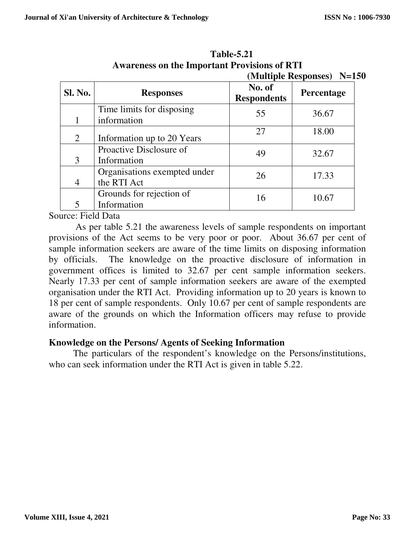|                |                                             |                              | (Multiple Responses) N=150 |
|----------------|---------------------------------------------|------------------------------|----------------------------|
| <b>Sl. No.</b> | <b>Responses</b>                            | No. of<br><b>Respondents</b> | Percentage                 |
|                | Time limits for disposing<br>information    | 55                           | 36.67                      |
| 2              | Information up to 20 Years                  | 27                           | 18.00                      |
| 3              | Proactive Disclosure of<br>Information      | 49                           | 32.67                      |
| $\overline{4}$ | Organisations exempted under<br>the RTI Act | 26                           | 17.33                      |
| 5              | Grounds for rejection of<br>Information     | 16                           | 10.67                      |

**Table-5.21 Awareness on the Important Provisions of RTI** 

Source: Field Data

 As per table 5.21 the awareness levels of sample respondents on important provisions of the Act seems to be very poor or poor. About 36.67 per cent of sample information seekers are aware of the time limits on disposing information by officials. The knowledge on the proactive disclosure of information in government offices is limited to 32.67 per cent sample information seekers. Nearly 17.33 per cent of sample information seekers are aware of the exempted organisation under the RTI Act. Providing information up to 20 years is known to 18 per cent of sample respondents. Only 10.67 per cent of sample respondents are aware of the grounds on which the Information officers may refuse to provide information.

#### **Knowledge on the Persons/ Agents of Seeking Information**

 The particulars of the respondent's knowledge on the Persons/institutions, who can seek information under the RTI Act is given in table 5.22.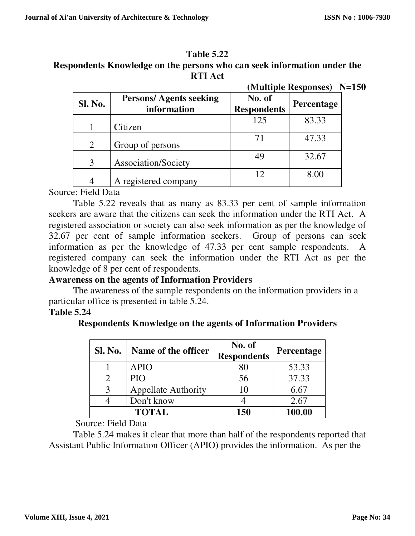#### **Table 5.22**

## **Respondents Knowledge on the persons who can seek information under the RTI Act**

|         |                                              | (Multiple Responses) N=150   |            |  |
|---------|----------------------------------------------|------------------------------|------------|--|
| Sl. No. | <b>Persons/Agents seeking</b><br>information | No. of<br><b>Respondents</b> | Percentage |  |
|         | Citizen                                      | 125                          | 83.33      |  |
| 2       | Group of persons                             |                              | 47.33      |  |
| 3       | Association/Society                          | 49                           | 32.67      |  |
|         | A registered company                         | 12                           | 8.00       |  |

### Source: Field Data

 Table 5.22 reveals that as many as 83.33 per cent of sample information seekers are aware that the citizens can seek the information under the RTI Act. A registered association or society can also seek information as per the knowledge of 32.67 per cent of sample information seekers. Group of persons can seek information as per the knowledge of 47.33 per cent sample respondents. A registered company can seek the information under the RTI Act as per the knowledge of 8 per cent of respondents.

#### **Awareness on the agents of Information Providers**

 The awareness of the sample respondents on the information providers in a particular office is presented in table 5.24.

#### **Table 5.24**

| <b>Sl. No.</b> | Name of the officer        | No. of<br><b>Respondents</b> | <b>Percentage</b> |
|----------------|----------------------------|------------------------------|-------------------|
|                | APIO                       |                              | 53.33             |
|                | PIO                        |                              | 37.33             |
|                | <b>Appellate Authority</b> |                              |                   |

4 Don't know 4 2.67

**TOTAL** 150 100.00

#### **Respondents Knowledge on the agents of Information Providers**

Source: Field Data

 Table 5.24 makes it clear that more than half of the respondents reported that Assistant Public Information Officer (APIO) provides the information. As per the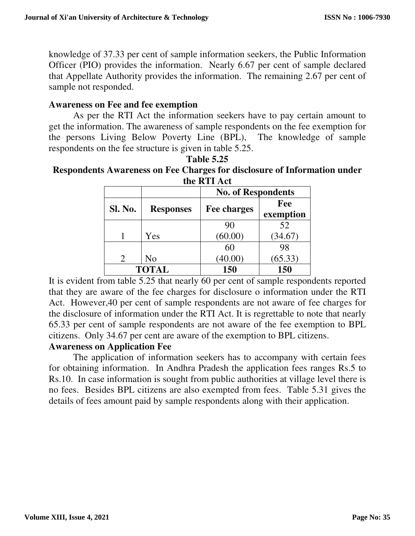knowledge of 37.33 per cent of sample information seekers, the Public Information Officer (PIO) provides the information. Nearly 6.67 per cent of sample declared that Appellate Authority provides the information. The remaining 2.67 per cent of sample not responded.

#### **Awareness on Fee and fee exemption**

 As per the RTI Act the information seekers have to pay certain amount to get the information. The awareness of sample respondents on the fee exemption for the persons Living Below Poverty Line (BPL), The knowledge of sample respondents on the fee structure is given in table 5.25.

**Table 5.25 Respondents Awareness on Fee Charges for disclosure of Information under the RTI Act** 

| uit iver all               |                  |                           |           |
|----------------------------|------------------|---------------------------|-----------|
|                            |                  | <b>No. of Respondents</b> |           |
|                            |                  | Fee                       |           |
| Sl. No.                    | <b>Responses</b> | <b>Fee charges</b>        | exemption |
|                            |                  | 90                        | 52        |
|                            | Yes              | (60.00)                   | (34.67)   |
|                            |                  | 60                        | 98        |
| $\mathcal{D}_{\cdot}$      | No               | (40.00)                   | (65.33)   |
| 150<br><b>TOTAL</b><br>150 |                  |                           |           |

It is evident from table 5.25 that nearly 60 per cent of sample respondents reported that they are aware of the fee charges for disclosure o information under the RTI Act. However,40 per cent of sample respondents are not aware of fee charges for the disclosure of information under the RTI Act. It is regrettable to note that nearly 65.33 per cent of sample respondents are not aware of the fee exemption to BPL citizens. Only 34.67 per cent are aware of the exemption to BPL citizens.

#### **Awareness on Application Fee**

The application of information seekers has to accompany with certain fees for obtaining information. In Andhra Pradesh the application fees ranges Rs.5 to Rs.10. In case information is sought from public authorities at village level there is no fees. Besides BPL citizens are also exempted from fees. Table 5.31 gives the details of fees amount paid by sample respondents along with their application.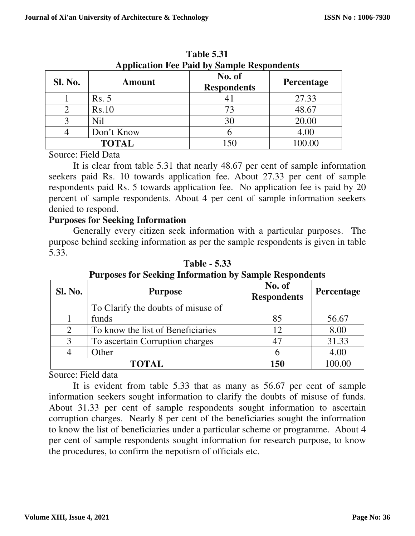|         |                | Application Fee Faid by Sample Respondents |                   |
|---------|----------------|--------------------------------------------|-------------------|
| Sl. No. | <b>Amount</b>  | No. of<br><b>Respondents</b>               | <b>Percentage</b> |
|         | <b>Rs.</b> 5   | 41                                         | 27.33             |
|         | Rs.10          | 73                                         | 48.67             |
|         | N <sub>i</sub> | 30                                         | 20.00             |
|         | Don't Know     |                                            | 4.00              |
|         | <b>TOTAL</b>   | 150                                        | 100.00            |

**Table 5.31 Application Fee Paid by Sample Respondents** 

Source: Field Data

 It is clear from table 5.31 that nearly 48.67 per cent of sample information seekers paid Rs. 10 towards application fee. About 27.33 per cent of sample respondents paid Rs. 5 towards application fee. No application fee is paid by 20 percent of sample respondents. About 4 per cent of sample information seekers denied to respond.

### **Purposes for Seeking Information**

 Generally every citizen seek information with a particular purposes. The purpose behind seeking information as per the sample respondents is given in table 5.33.

| <b>Sl. No.</b> | <b>Purpose</b>                     | No. of<br><b>Respondents</b> | <b>Percentage</b> |
|----------------|------------------------------------|------------------------------|-------------------|
|                | To Clarify the doubts of misuse of |                              |                   |
|                | funds                              | 85                           | 56.67             |
| 2              | To know the list of Beneficiaries  | 12                           | 8.00              |
| 3              | To ascertain Corruption charges    | 47                           | 31.33             |
|                | Other                              |                              | 4.00              |
|                | <b>TOTAL</b>                       | 150                          | 100.00            |

**Table - 5.33 Purposes for Seeking Information by Sample Respondents** 

Source: Field data

 It is evident from table 5.33 that as many as 56.67 per cent of sample information seekers sought information to clarify the doubts of misuse of funds. About 31.33 per cent of sample respondents sought information to ascertain corruption charges. Nearly 8 per cent of the beneficiaries sought the information to know the list of beneficiaries under a particular scheme or programme. About 4 per cent of sample respondents sought information for research purpose, to know the procedures, to confirm the nepotism of officials etc.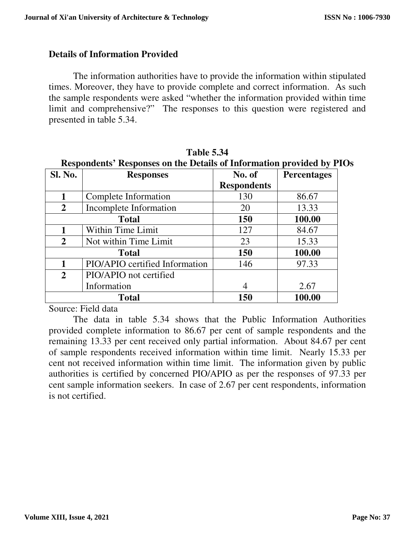#### **Details of Information Provided**

The information authorities have to provide the information within stipulated times. Moreover, they have to provide complete and correct information. As such the sample respondents were asked "whether the information provided within time limit and comprehensive?" The responses to this question were registered and presented in table 5.34.

| Respondents' Responses on the Details of Information provided by PIO |                                |                    |                    |
|----------------------------------------------------------------------|--------------------------------|--------------------|--------------------|
| <b>Sl. No.</b>                                                       | <b>Responses</b>               | No. of             | <b>Percentages</b> |
|                                                                      |                                | <b>Respondents</b> |                    |
| 1                                                                    | Complete Information           | 130                | 86.67              |
| $\overline{2}$                                                       | Incomplete Information         | 20                 | 13.33              |
|                                                                      | <b>Total</b>                   | <b>150</b>         | 100.00             |
| 1                                                                    | <b>Within Time Limit</b>       | 127                | 84.67              |
| $\overline{2}$                                                       | Not within Time Limit          | 23                 | 15.33              |
|                                                                      | <b>Total</b>                   | 150                | 100.00             |
| 1                                                                    | PIO/APIO certified Information | 146                | 97.33              |
| $\overline{2}$                                                       | PIO/APIO not certified         |                    |                    |
|                                                                      | Information                    | $\overline{4}$     | 2.67               |
|                                                                      | <b>Total</b>                   | 150                | 100.00             |

**Table 5.34 Respondents' Responses on the Details of Information provided by PIOs** 

Source: Field data

 The data in table 5.34 shows that the Public Information Authorities provided complete information to 86.67 per cent of sample respondents and the remaining 13.33 per cent received only partial information. About 84.67 per cent of sample respondents received information within time limit. Nearly 15.33 per cent not received information within time limit. The information given by public authorities is certified by concerned PIO/APIO as per the responses of 97.33 per cent sample information seekers. In case of 2.67 per cent respondents, information is not certified.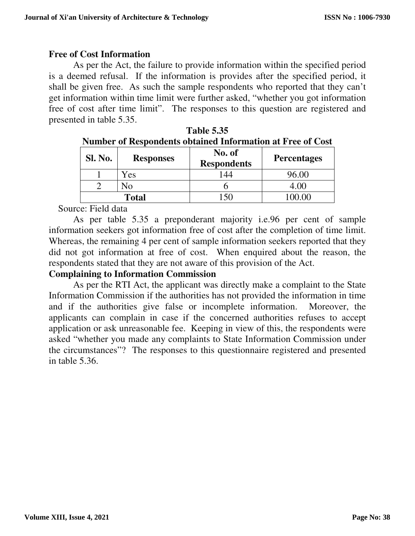## **Free of Cost Information**

 As per the Act, the failure to provide information within the specified period is a deemed refusal. If the information is provides after the specified period, it shall be given free. As such the sample respondents who reported that they can't get information within time limit were further asked, "whether you got information free of cost after time limit". The responses to this question are registered and presented in table 5.35.

|         | Tumbu of Respondence obtained miorination at FTee of Cost |                              |                    |  |  |
|---------|-----------------------------------------------------------|------------------------------|--------------------|--|--|
| Sl. No. | <b>Responses</b>                                          | No. of<br><b>Respondents</b> | <b>Percentages</b> |  |  |
|         | Yes                                                       | 44                           | 96.00              |  |  |
|         | Nο                                                        |                              | 4.00               |  |  |
|         | <b>Total</b>                                              |                              | 0000               |  |  |

| <b>Table 5.35</b>                                          |
|------------------------------------------------------------|
| Number of Respondents obtained Information at Free of Cost |

Source: Field data

 As per table 5.35 a preponderant majority i.e.96 per cent of sample information seekers got information free of cost after the completion of time limit. Whereas, the remaining 4 per cent of sample information seekers reported that they did not got information at free of cost. When enquired about the reason, the respondents stated that they are not aware of this provision of the Act.

## **Complaining to Information Commission**

 As per the RTI Act, the applicant was directly make a complaint to the State Information Commission if the authorities has not provided the information in time and if the authorities give false or incomplete information. Moreover, the applicants can complain in case if the concerned authorities refuses to accept application or ask unreasonable fee. Keeping in view of this, the respondents were asked "whether you made any complaints to State Information Commission under the circumstances"? The responses to this questionnaire registered and presented in table 5.36.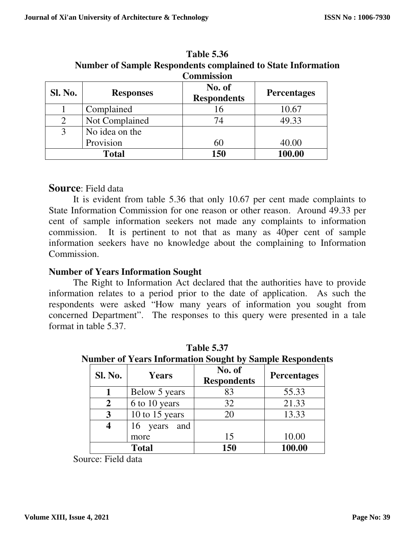| <b>Commission</b> |                  |                              |                    |
|-------------------|------------------|------------------------------|--------------------|
| <b>Sl. No.</b>    | <b>Responses</b> | No. of<br><b>Respondents</b> | <b>Percentages</b> |
|                   | Complained       | 16                           | 10.67              |
| $\overline{2}$    | Not Complained   | 74                           | 49.33              |
|                   | No idea on the   |                              |                    |
|                   | Provision        | 60                           | 40.00              |
| <b>Total</b>      |                  | 150                          | 100.00             |

**Table 5.36 Number of Sample Respondents complained to State Information** 

## **Source**: Field data

 It is evident from table 5.36 that only 10.67 per cent made complaints to State Information Commission for one reason or other reason. Around 49.33 per cent of sample information seekers not made any complaints to information commission. It is pertinent to not that as many as 40per cent of sample information seekers have no knowledge about the complaining to Information Commission.

### **Number of Years Information Sought**

 The Right to Information Act declared that the authorities have to provide information relates to a period prior to the date of application. As such the respondents were asked "How many years of information you sought from concerned Department". The responses to this query were presented in a tale format in table 5.37.

| <b>Sl. No.</b> | Years           | No. of<br><b>Respondents</b> | <b>Percentages</b> |
|----------------|-----------------|------------------------------|--------------------|
|                | Below 5 years   | 83                           | 55.33              |
| 2              | 6 to 10 years   | 32                           | 21.33              |
| 3              | 10 to 15 years  | 20                           | 13.33              |
| 4              | and<br>16 years |                              |                    |
|                | more            | 15                           | 10.00              |
| <b>Total</b>   |                 | 150                          | 100.00             |

**Table 5.37 Number of Years Information Sought by Sample Respondents** 

Source: Field data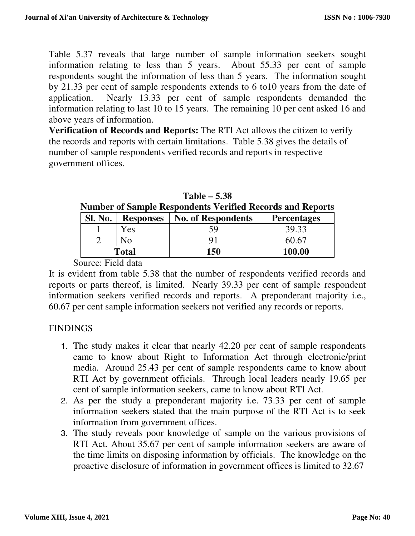Table 5.37 reveals that large number of sample information seekers sought information relating to less than 5 years. About 55.33 per cent of sample respondents sought the information of less than 5 years. The information sought by 21.33 per cent of sample respondents extends to 6 to10 years from the date of application. Nearly 13.33 per cent of sample respondents demanded the information relating to last 10 to 15 years. The remaining 10 per cent asked 16 and above years of information.

**Verification of Records and Reports:** The RTI Act allows the citizen to verify the records and reports with certain limitations. Table 5.38 gives the details of number of sample respondents verified records and reports in respective government offices.

| $\alpha$ and $\alpha$ bannon. Appointments $\alpha$ value and $\alpha$ and $\alpha$ and $\alpha$ |                  |                           |                    |  |
|--------------------------------------------------------------------------------------------------|------------------|---------------------------|--------------------|--|
| <b>Sl. No.</b>                                                                                   | <b>Responses</b> | <b>No. of Respondents</b> | <b>Percentages</b> |  |
|                                                                                                  | Yes              | ٢q                        | 39.33              |  |
|                                                                                                  | No               |                           | 60.67              |  |
| Total                                                                                            |                  | 150                       | 100.00             |  |

**Table – 5.38 Number of Sample Respondents Verified Records and Reports** 

Source: Field data

It is evident from table 5.38 that the number of respondents verified records and reports or parts thereof, is limited. Nearly 39.33 per cent of sample respondent information seekers verified records and reports. A preponderant majority i.e., 60.67 per cent sample information seekers not verified any records or reports.

## **FINDINGS**

- 1. The study makes it clear that nearly 42.20 per cent of sample respondents came to know about Right to Information Act through electronic/print media. Around 25.43 per cent of sample respondents came to know about RTI Act by government officials. Through local leaders nearly 19.65 per cent of sample information seekers, came to know about RTI Act.
- 2. As per the study a preponderant majority i.e. 73.33 per cent of sample information seekers stated that the main purpose of the RTI Act is to seek information from government offices.
- 3. The study reveals poor knowledge of sample on the various provisions of RTI Act. About 35.67 per cent of sample information seekers are aware of the time limits on disposing information by officials. The knowledge on the proactive disclosure of information in government offices is limited to 32.67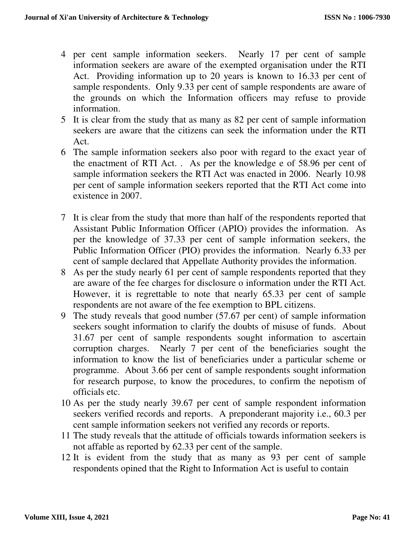- 4 per cent sample information seekers. Nearly 17 per cent of sample information seekers are aware of the exempted organisation under the RTI Act. Providing information up to 20 years is known to 16.33 per cent of sample respondents. Only 9.33 per cent of sample respondents are aware of the grounds on which the Information officers may refuse to provide information.
- 5 It is clear from the study that as many as 82 per cent of sample information seekers are aware that the citizens can seek the information under the RTI Act.
- 6 The sample information seekers also poor with regard to the exact year of the enactment of RTI Act. . As per the knowledge e of 58.96 per cent of sample information seekers the RTI Act was enacted in 2006. Nearly 10.98 per cent of sample information seekers reported that the RTI Act come into existence in 2007.
- 7 It is clear from the study that more than half of the respondents reported that Assistant Public Information Officer (APIO) provides the information. As per the knowledge of 37.33 per cent of sample information seekers, the Public Information Officer (PIO) provides the information. Nearly 6.33 per cent of sample declared that Appellate Authority provides the information.
- 8 As per the study nearly 61 per cent of sample respondents reported that they are aware of the fee charges for disclosure o information under the RTI Act. However, it is regrettable to note that nearly 65.33 per cent of sample respondents are not aware of the fee exemption to BPL citizens.
- 9 The study reveals that good number (57.67 per cent) of sample information seekers sought information to clarify the doubts of misuse of funds. About 31.67 per cent of sample respondents sought information to ascertain corruption charges. Nearly 7 per cent of the beneficiaries sought the information to know the list of beneficiaries under a particular scheme or programme. About 3.66 per cent of sample respondents sought information for research purpose, to know the procedures, to confirm the nepotism of officials etc.
- 10 As per the study nearly 39.67 per cent of sample respondent information seekers verified records and reports. A preponderant majority i.e., 60.3 per cent sample information seekers not verified any records or reports.
- 11 The study reveals that the attitude of officials towards information seekers is not affable as reported by 62.33 per cent of the sample.
- 12 It is evident from the study that as many as 93 per cent of sample respondents opined that the Right to Information Act is useful to contain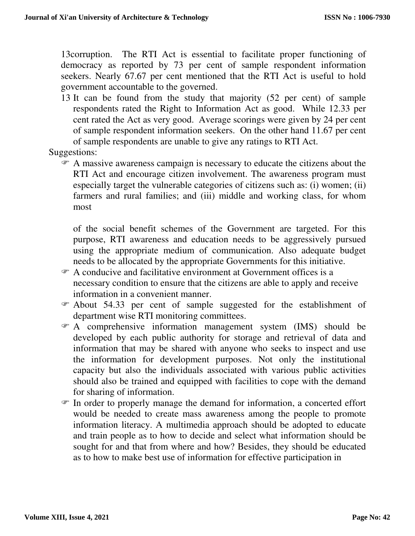13corruption. The RTI Act is essential to facilitate proper functioning of democracy as reported by 73 per cent of sample respondent information seekers. Nearly 67.67 per cent mentioned that the RTI Act is useful to hold government accountable to the governed.

13 It can be found from the study that majority (52 per cent) of sample respondents rated the Right to Information Act as good. While 12.33 per cent rated the Act as very good. Average scorings were given by 24 per cent of sample respondent information seekers. On the other hand 11.67 per cent of sample respondents are unable to give any ratings to RTI Act.

Suggestions:

 A massive awareness campaign is necessary to educate the citizens about the RTI Act and encourage citizen involvement. The awareness program must especially target the vulnerable categories of citizens such as: (i) women; (ii) farmers and rural families; and (iii) middle and working class, for whom most

of the social benefit schemes of the Government are targeted. For this purpose, RTI awareness and education needs to be aggressively pursued using the appropriate medium of communication. Also adequate budget needs to be allocated by the appropriate Governments for this initiative.

- A conducive and facilitative environment at Government offices is a necessary condition to ensure that the citizens are able to apply and receive information in a convenient manner.
- About 54.33 per cent of sample suggested for the establishment of department wise RTI monitoring committees.
- A comprehensive information management system (IMS) should be developed by each public authority for storage and retrieval of data and information that may be shared with anyone who seeks to inspect and use the information for development purposes. Not only the institutional capacity but also the individuals associated with various public activities should also be trained and equipped with facilities to cope with the demand for sharing of information.
- In order to properly manage the demand for information, a concerted effort would be needed to create mass awareness among the people to promote information literacy. A multimedia approach should be adopted to educate and train people as to how to decide and select what information should be sought for and that from where and how? Besides, they should be educated as to how to make best use of information for effective participation in